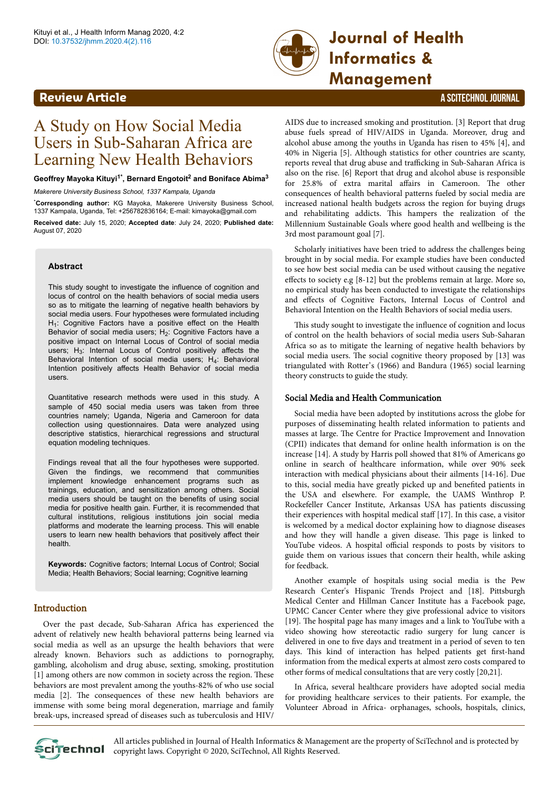

# **Informatics & Management**

# **Review Article** A SCITECHNOL JOURNAL

# A Study on How Social Media Users in Sub-Saharan Africa are Learning New Health Behaviors

#### **Geoffrey Mayoka Kituyi1\*, Bernard Engotoit<sup>2</sup> and Boniface Abima<sup>3</sup>**

*Makerere University Business School, 1337 Kampala, Uganda*

\***Corresponding author:** KG Mayoka, Makerere University Business School, 1337 Kampala, Uganda, Tel: +256782836164; E-mail: kimayoka@gmail.com

**Received date:** July 15, 2020; **Accepted date**: July 24, 2020; **Published date:** August 07, 2020

#### **Abstract**

This study sought to investigate the influence of cognition and locus of control on the health behaviors of social media users so as to mitigate the learning of negative health behaviors by social media users. Four hypotheses were formulated including  $H_1$ : Cognitive Factors have a positive effect on the Health Behavior of social media users;  $H_2$ : Cognitive Factors have a positive impact on Internal Locus of Control of social media users;  $H_3$ : Internal Locus of Control positively affects the Behavioral Intention of social media users; H<sub>4</sub>: Behavioral Intention positively affects Health Behavior of social media users.

Quantitative research methods were used in this study. A sample of 450 social media users was taken from three countries namely; Uganda, Nigeria and Cameroon for data collection using questionnaires. Data were analyzed using descriptive statistics, hierarchical regressions and structural equation modeling techniques.

Findings reveal that all the four hypotheses were supported. Given the findings, we recommend that communities implement knowledge enhancement programs such as trainings, education, and sensitization among others. Social media users should be taught on the benefits of using social media for positive health gain. Further, it is recommended that cultural institutions, religious institutions join social media platforms and moderate the learning process. This will enable users to learn new health behaviors that positively affect their health.

**Keywords:** Cognitive factors; Internal Locus of Control; Social Media; Health Behaviors; Social learning; Cognitive learning

# **Introduction**

Over the past decade, Sub-Saharan Africa has experienced the advent of relatively new health behavioral patterns being learned via social media as well as an upsurge the health behaviors that were already known. Behaviors such as addictions to pornography, gambling, alcoholism and drug abuse, sexting, smoking, prostitution [1] among others are now common in society across the region. These behaviors are most prevalent among the youths-82% of who use social media [2]. Нe consequences of these new health behaviors are immense with some being moral degeneration, marriage and family break-ups, increased spread of diseases such as tuberculosis and HIV/

AIDS due to increased smoking and prostitution. [3] Report that drug abuse fuels spread of HIV/AIDS in Uganda. Moreover, drug and alcohol abuse among the youths in Uganda has risen to 45% [4], and 40% in Nigeria [5]. Although statistics for other countries are scanty, reports reveal that drug abuse and trafficking in Sub-Saharan Africa is also on the rise. [6] Report that drug and alcohol abuse is responsible for 25.8% of extra marital affairs in Cameroon. The other consequences of health behavioral patterns fueled by social media are increased national health budgets across the region for buying drugs and rehabilitating addicts. Нis hampers the realization of the Millennium Sustainable Goals where good health and wellbeing is the 3rd most paramount goal [7].

Scholarly initiatives have been tried to address the challenges being brought in by social media. For example studies have been conducted to see how best social media can be used without causing the negative effects to society e.g  $[8-12]$  but the problems remain at large. More so, no empirical study has been conducted to investigate the relationships and effects of Cognitive Factors, Internal Locus of Control and Behavioral Intention on the Health Behaviors of social media users.

This study sought to investigate the influence of cognition and locus of control on the health behaviors of social media users Sub-Saharan Africa so as to mitigate the learning of negative health behaviors by social media users. Нe social cognitive theory proposed by [13] was triangulated with Rotter's (1966) and Bandura (1965) social learning theory constructs to guide the study.

#### Social Media and Health Communication

Social media have been adopted by institutions across the globe for purposes of disseminating health related information to patients and masses at large. Нe Centre for Practice Improvement and Innovation (CPII) indicates that demand for online health information is on the increase [14]. A study by Harris poll showed that 81% of Americans go online in search of healthcare information, while over 90% seek interaction with medical physicians about their ailments [14-16]. Due to this, social media have greatly picked up and benefited patients in the USA and elsewhere. For example, the UAMS Winthrop P. Rockefeller Cancer Institute, Arkansas USA has patients discussing their experiences with hospital medical staff [17]. In this case, a visitor is welcomed by a medical doctor explaining how to diagnose diseases and how they will handle a given disease. Нis page is linked to YouTube videos. A hospital official responds to posts by visitors to guide them on various issues that concern their health, while asking for feedback.

Another example of hospitals using social media is the Pew Research Center's Hispanic Trends Project and [18]. Pittsburgh Medical Center and Hillman Cancer Institute has a Facebook page, UPMC Cancer Center where they give professional advice to visitors [19]. The hospital page has many images and a link to YouTube with a video showing how stereotactic radio surgery for lung cancer is delivered in one to five days and treatment in a period of seven to ten days. Нis kind of interaction has helped patients get first-hand information from the medical experts at almost zero costs compared to other forms of medical consultations that are very costly [20,21].

In Africa, several healthcare providers have adopted social media for providing healthcare services to their patients. For example, the Volunteer Abroad in Africa- orphanages, schools, hospitals, clinics,



All articles published in Journal of Health Informatics & Management are the property of SciTechnol and is protected by **CLITECHNOL** copyright laws. Copyright © 2020, SciTechnol, All Rights Reserved.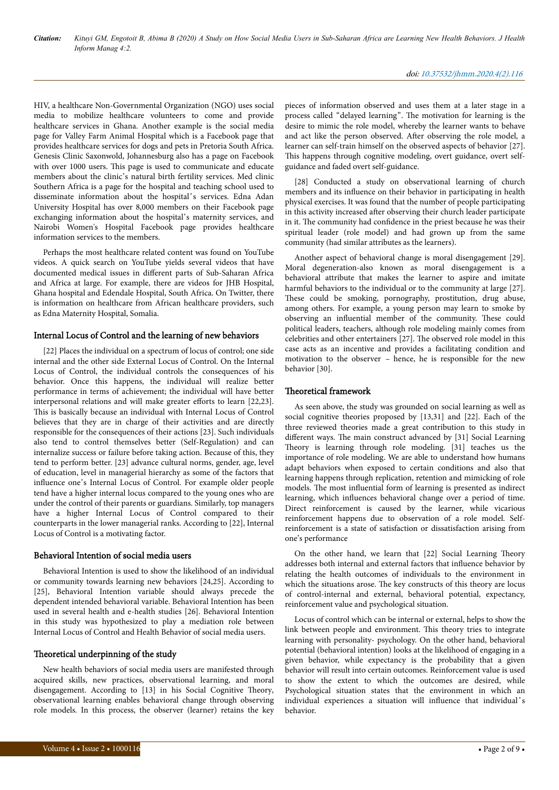HIV, a healthcare Non-Governmental Organization (NGO) uses social media to mobilize healthcare volunteers to come and provide healthcare services in Ghana. Another example is the social media page for Valley Farm Animal Hospital which is a Facebook page that provides healthcare services for dogs and pets in Pretoria South Africa. Genesis Clinic Saxonwold, Johannesburg also has a page on Facebook with over 1000 users. Нis page is used to communicate and educate members about the clinic's natural birth fertility services. Med clinic Southern Africa is a page for the hospital and teaching school used to disseminate information about the hospital's services. Edna Adan University Hospital has over 8,000 members on their Facebook page exchanging information about the hospital's maternity services, and Nairobi Women's Hospital Facebook page provides healthcare information services to the members.

Perhaps the most healthcare related content was found on YouTube videos. A quick search on YouTube yields several videos that have documented medical issues in different parts of Sub-Saharan Africa and Africa at large. For example, there are videos for JHB Hospital, Ghana hospital and Edendale Hospital, South Africa. On Twitter, there is information on healthcare from African healthcare providers, such as Edna Maternity Hospital, Somalia.

### Internal Locus of Control and the learning of new behaviors

[22] Places the individual on a spectrum of locus of control; one side internal and the other side External Locus of Control. On the Internal Locus of Control, the individual controls the consequences of his behavior. Once this happens, the individual will realize better performance in terms of achievement; the individual will have better interpersonal relations and will make greater efforts to learn [22,23]. This is basically because an individual with Internal Locus of Control believes that they are in charge of their activities and are directly responsible for the consequences of their actions [23]. Such individuals also tend to control themselves better (Self-Regulation) and can internalize success or failure before taking action. Because of this, they tend to perform better. [23] advance cultural norms, gender, age, level of education, level in managerial hierarchy as some of the factors that influence one's Internal Locus of Control. For example older people tend have a higher internal locus compared to the young ones who are under the control of their parents or guardians. Similarly, top managers have a higher Internal Locus of Control compared to their counterparts in the lower managerial ranks. According to [22], Internal Locus of Control is a motivating factor.

#### Behavioral Intention of social media users

Behavioral Intention is used to show the likelihood of an individual or community towards learning new behaviors [24,25]. According to [25], Behavioral Intention variable should always precede the dependent intended behavioral variable. Behavioral Intention has been used in several health and e-health studies [26]. Behavioral Intention in this study was hypothesized to play a mediation role between Internal Locus of Control and Health Behavior of social media users.

# Theoretical underpinning of the study

New health behaviors of social media users are manifested through acquired skills, new practices, observational learning, and moral disengagement. According to [13] in his Social Cognitive Theory, observational learning enables behavioral change through observing role models. In this process, the observer (learner) retains the key pieces of information observed and uses them at a later stage in a process called "delayed learning". Нe motivation for learning is the desire to mimic the role model, whereby the learner wants to behave and act like the person observed. After observing the role model, a learner can self-train himself on the observed aspects of behavior [27]. This happens through cognitive modeling, overt guidance, overt selfguidance and faded overt self-guidance.

[28] Conducted a study on observational learning of church members and its influence on their behavior in participating in health physical exercises. It was found that the number of people participating in this activity increased after observing their church leader participate in it. Нe community had confidence in the priest because he was their spiritual leader (role model) and had grown up from the same community (had similar attributes as the learners).

Another aspect of behavioral change is moral disengagement [29]. Moral degeneration-also known as moral disengagement is a behavioral attribute that makes the learner to aspire and imitate harmful behaviors to the individual or to the community at large [27]. These could be smoking, pornography, prostitution, drug abuse, among others. For example, a young person may learn to smoke by observing an influential member of the community. Нese could political leaders, teachers, although role modeling mainly comes from celebrities and other entertainers [27]. Нe observed role model in this case acts as an incentive and provides a facilitating condition and motivation to the observer – hence, he is responsible for the new behavior [30].

#### Theoretical framework

As seen above, the study was grounded on social learning as well as social cognitive theories proposed by [13,31] and [22]. Each of the three reviewed theories made a great contribution to this study in different ways. The main construct advanced by [31] Social Learning Theory is learning through role modeling. [31] teaches us the importance of role modeling. We are able to understand how humans adapt behaviors when exposed to certain conditions and also that learning happens through replication, retention and mimicking of role models. Нe most influential form of learning is presented as indirect learning, which influences behavioral change over a period of time. Direct reinforcement is caused by the learner, while vicarious reinforcement happens due to observation of a role model. Selfreinforcement is a state of satisfaction or dissatisfaction arising from one's performance

On the other hand, we learn that [22] Social Learning Theory addresses both internal and external factors that influence behavior by relating the health outcomes of individuals to the environment in which the situations arose. Нe key constructs of this theory are locus of control-internal and external, behavioral potential, expectancy, reinforcement value and psychological situation.

Locus of control which can be internal or external, helps to show the link between people and environment. Нis theory tries to integrate learning with personality- psychology. On the other hand, behavioral potential (behavioral intention) looks at the likelihood of engaging in a given behavior, while expectancy is the probability that a given behavior will result into certain outcomes. Reinforcement value is used to show the extent to which the outcomes are desired, while Psychological situation states that the environment in which an individual experiences a situation will influence that individual's behavior.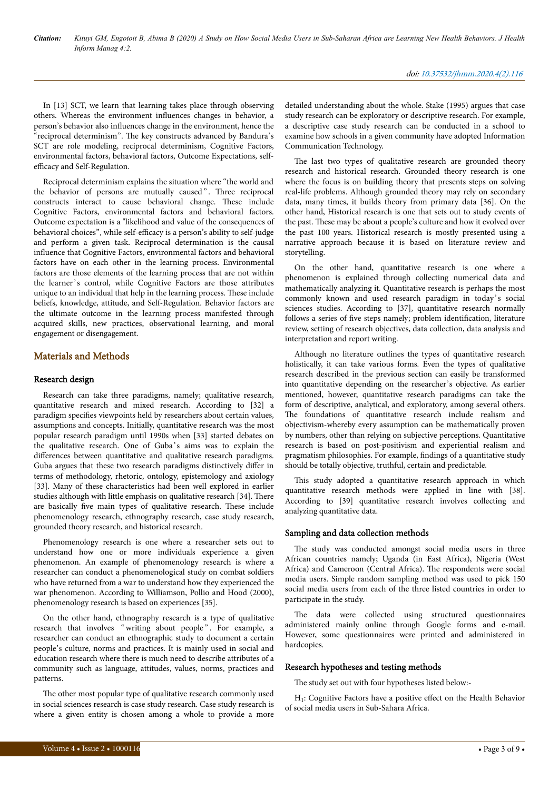In [13] SCT, we learn that learning takes place through observing others. Whereas the environment influences changes in behavior, a person's behavior also influences change in the environment, hence the "reciprocal determinism". The key constructs advanced by Bandura's SCT are role modeling, reciprocal determinism, Cognitive Factors, environmental factors, behavioral factors, Outcome Expectations, selfefficacy and Self-Regulation.

Reciprocal determinism explains the situation where "the world and the behavior of persons are mutually caused". Three reciprocal constructs interact to cause behavioral change. Нese include Cognitive Factors, environmental factors and behavioral factors. Outcome expectation is a "likelihood and value of the consequences of behavioral choices", while self-efficacy is a person's ability to self-judge and perform a given task. Reciprocal determination is the causal influence that Cognitive Factors, environmental factors and behavioral factors have on each other in the learning process. Environmental factors are those elements of the learning process that are not within the learner's control, while Cognitive Factors are those attributes unique to an individual that help in the learning process. Нese include beliefs, knowledge, attitude, and Self-Regulation. Behavior factors are the ultimate outcome in the learning process manifested through acquired skills, new practices, observational learning, and moral engagement or disengagement.

# Materials and Methods

# Research design

Research can take three paradigms, namely; qualitative research, quantitative research and mixed research. According to [32] a paradigm specifies viewpoints held by researchers about certain values, assumptions and concepts. Initially, quantitative research was the most popular research paradigm until 1990s when [33] started debates on the qualitative research. One of Guba 's aims was to explain the differences between quantitative and qualitative research paradigms. Guba argues that these two research paradigms distinctively differ in terms of methodology, rhetoric, ontology, epistemology and axiology [33]. Many of these characteristics had been well explored in earlier studies although with little emphasis on qualitative research [34]. Нere are basically five main types of qualitative research. Нese include phenomenology research, ethnography research, case study research, grounded theory research, and historical research.

Phenomenology research is one where a researcher sets out to understand how one or more individuals experience a given phenomenon. An example of phenomenology research is where a researcher can conduct a phenomenological study on combat soldiers who have returned from a war to understand how they experienced the war phenomenon. According to Williamson, Pollio and Hood (2000), phenomenology research is based on experiences [35].

On the other hand, ethnography research is a type of qualitative research that involves "writing about people". For example, a researcher can conduct an ethnographic study to document a certain people's culture, norms and practices. It is mainly used in social and education research where there is much need to describe attributes of a community such as language, attitudes, values, norms, practices and patterns.

The other most popular type of qualitative research commonly used in social sciences research is case study research. Case study research is where a given entity is chosen among a whole to provide a more detailed understanding about the whole. Stake (1995) argues that case study research can be exploratory or descriptive research. For example, a descriptive case study research can be conducted in a school to examine how schools in a given community have adopted Information Communication Technology.

The last two types of qualitative research are grounded theory research and historical research. Grounded theory research is one where the focus is on building theory that presents steps on solving real-life problems. Although grounded theory may rely on secondary data, many times, it builds theory from primary data [36]. On the other hand, Historical research is one that sets out to study events of the past. Нese may be about a people's culture and how it evolved over the past 100 years. Historical research is mostly presented using a narrative approach because it is based on literature review and storytelling.

On the other hand, quantitative research is one where a phenomenon is explained through collecting numerical data and mathematically analyzing it. Quantitative research is perhaps the most commonly known and used research paradigm in today 's social sciences studies. According to [37], quantitative research normally follows a series of five steps namely; problem identification, literature review, setting of research objectives, data collection, data analysis and interpretation and report writing.

Although no literature outlines the types of quantitative research holistically, it can take various forms. Even the types of qualitative research described in the previous section can easily be transformed into quantitative depending on the researcher's objective. As earlier mentioned, however, quantitative research paradigms can take the form of descriptive, analytical, and exploratory, among several others. The foundations of quantitative research include realism and objectivism-whereby every assumption can be mathematically proven by numbers, other than relying on subjective perceptions. Quantitative research is based on post-positivism and experiential realism and pragmatism philosophies. For example, findings of a quantitative study should be totally objective, truthful, certain and predictable.

This study adopted a quantitative research approach in which quantitative research methods were applied in line with [38]. According to [39] quantitative research involves collecting and analyzing quantitative data.

#### Sampling and data collection methods

The study was conducted amongst social media users in three African countries namely; Uganda (in East Africa), Nigeria (West Africa) and Cameroon (Central Africa). Нe respondents were social media users. Simple random sampling method was used to pick 150 social media users from each of the three listed countries in order to participate in the study.

The data were collected using structured questionnaires administered mainly online through Google forms and e-mail. However, some questionnaires were printed and administered in hardcopies.

#### Research hypotheses and testing methods

The study set out with four hypotheses listed below:-

H<sub>1</sub>: Cognitive Factors have a positive effect on the Health Behavior of social media users in Sub-Sahara Africa.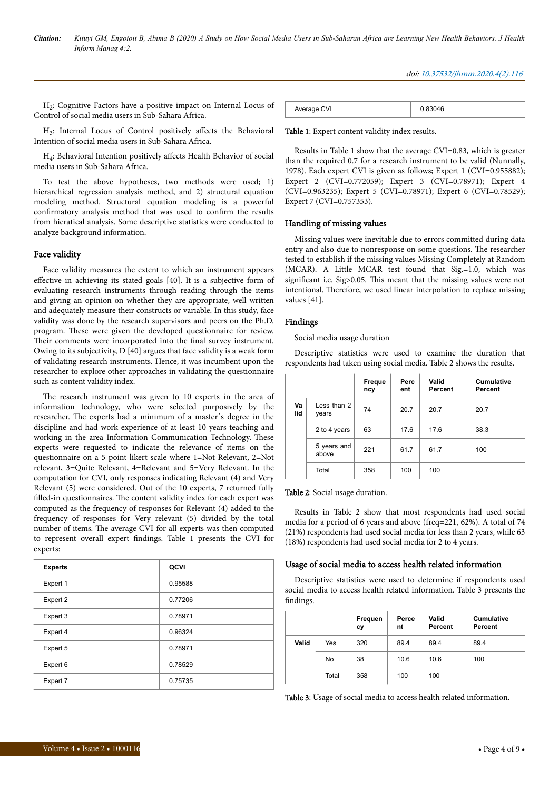H2 : Cognitive Factors have a positive impact on Internal Locus of Control of social media users in Sub-Sahara Africa.

H<sub>3</sub>: Internal Locus of Control positively affects the Behavioral Intention of social media users in Sub-Sahara Africa.

H<sub>4</sub>: Behavioral Intention positively affects Health Behavior of social media users in Sub-Sahara Africa.

To test the above hypotheses, two methods were used; 1) hierarchical regression analysis method, and 2) structural equation modeling method. Structural equation modeling is a powerful confirmatory analysis method that was used to confirm the results from hieratical analysis. Some descriptive statistics were conducted to analyze background information.

# Face validity

Face validity measures the extent to which an instrument appears effective in achieving its stated goals [40]. It is a subjective form of evaluating research instruments through reading through the items and giving an opinion on whether they are appropriate, well written and adequately measure their constructs or variable. In this study, face validity was done by the research supervisors and peers on the Ph.D. program. Нese were given the developed questionnaire for review. Their comments were incorporated into the final survey instrument. Owing to its subjectivity, D [40] argues that face validity is a weak form of validating research instruments. Hence, it was incumbent upon the researcher to explore other approaches in validating the questionnaire such as content validity index.

The research instrument was given to 10 experts in the area of information technology, who were selected purposively by the researcher. Нe experts had a minimum of a master's degree in the discipline and had work experience of at least 10 years teaching and working in the area Information Communication Technology. Нese experts were requested to indicate the relevance of items on the questionnaire on a 5 point likert scale where 1=Not Relevant, 2=Not relevant, 3=Quite Relevant, 4=Relevant and 5=Very Relevant. In the computation for CVI, only responses indicating Relevant (4) and Very Relevant (5) were considered. Out of the 10 experts, 7 returned fully filled-in questionnaires. Нe content validity index for each expert was computed as the frequency of responses for Relevant (4) added to the frequency of responses for Very relevant (5) divided by the total number of items. Нe average CVI for all experts was then computed to represent overall expert findings. Table 1 presents the CVI for experts:

| <b>Experts</b> | QCVI    |
|----------------|---------|
| Expert 1       | 0.95588 |
| Expert 2       | 0.77206 |
| Expert 3       | 0.78971 |
| Expert 4       | 0.96324 |
| Expert 5       | 0.78971 |
| Expert 6       | 0.78529 |
| Expert 7       | 0.75735 |

| Average CVI |  |
|-------------|--|

#### Table 1: Expert content validity index results.

Results in Table 1 show that the average CVI=0.83, which is greater than the required 0.7 for a research instrument to be valid (Nunnally, 1978). Each expert CVI is given as follows; Expert 1 (CVI=0.955882); Expert 2 (CVI=0.772059); Expert 3 (CVI=0.78971); Expert 4 (CVI=0.963235); Expert 5 (CVI=0.78971); Expert 6 (CVI=0.78529); Expert 7 (CVI=0.757353).

#### Handling of missing values

Missing values were inevitable due to errors committed during data entry and also due to nonresponse on some questions. Нe researcher tested to establish if the missing values Missing Completely at Random (MCAR). A Little MCAR test found that Sig.=1.0, which was significant i.e. Sig>0.05. Нis meant that the missing values were not intentional. Нerefore, we used linear interpolation to replace missing values [41].

#### Findings

Social media usage duration

Descriptive statistics were used to examine the duration that respondents had taken using social media. Table 2 shows the results.

|           |                      | Freque<br>ncy | Perc<br>ent | Valid<br>Percent | <b>Cumulative</b><br>Percent |
|-----------|----------------------|---------------|-------------|------------------|------------------------------|
| Va<br>lid | Less than 2<br>years | 74            | 20.7        | 20.7             | 20.7                         |
|           | 2 to 4 years         | 63            | 17.6        | 17.6             | 38.3                         |
|           | 5 years and<br>above | 221           | 61.7        | 61.7             | 100                          |
|           | Total                | 358           | 100         | 100              |                              |

Table 2: Social usage duration.

Results in Table 2 show that most respondents had used social media for a period of 6 years and above (freq=221, 62%). A total of 74 (21%) respondents had used social media for less than 2 years, while 63 (18%) respondents had used social media for 2 to 4 years.

#### Usage of social media to access health related information

Descriptive statistics were used to determine if respondents used social media to access health related information. Table 3 presents the findings.

|       |       | Frequen<br>сy | Perce<br>nt | Valid<br>Percent | <b>Cumulative</b><br>Percent |
|-------|-------|---------------|-------------|------------------|------------------------------|
| Valid | Yes   | 320           | 89.4        | 89.4             | 89.4                         |
|       | No    | 38            | 10.6        | 10.6             | 100                          |
|       | Total | 358           | 100         | 100              |                              |

Table 3: Usage of social media to access health related information.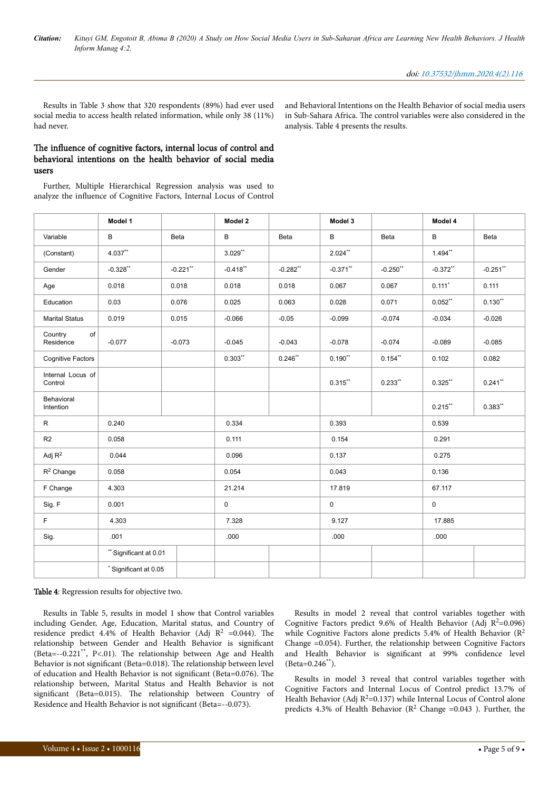Results in Table 3 show that 320 respondents (89%) had ever used social media to access health related information, while only 38 (11%) had never.

and Behavioral Intentions on the Health Behavior of social media users in Sub-Sahara Africa. Нe control variables were also considered in the analysis. Table 4 presents the results.

# The influence of cognitive factors, internal locus of control and behavioral intentions on the health behavior of social media users

Further, Multiple Hierarchical Regression analysis was used to analyze the influence of Cognitive Factors, Internal Locus of Control

|                              | Model 1                |             | Model 2     |                        | Model 3     |             | Model 4     |             |
|------------------------------|------------------------|-------------|-------------|------------------------|-------------|-------------|-------------|-------------|
| Variable                     | B                      | Beta        | B           | Beta                   | В           | <b>Beta</b> | B           | Beta        |
| (Constant)                   | 4.037**                |             | $3.029$ **  |                        | $2.024***$  |             | $1.494**$   |             |
| Gender                       | $-0.328$ **            | $-0.221$ ** | $-0.418$ ** | $-0.282$ <sup>**</sup> | $-0.371$ ** | $-0.250$ ** | $-0.372$ ** | $-0.251$ ** |
| Age                          | 0.018                  | 0.018       | 0.018       | 0.018                  | 0.067       | 0.067       | $0.111*$    | 0.111       |
| Education                    | 0.03                   | 0.076       | 0.025       | 0.063                  | 0.028       | 0.071       | $0.052***$  | $0.130**$   |
| <b>Marital Status</b>        | 0.019                  | 0.015       | $-0.066$    | $-0.05$                | $-0.099$    | $-0.074$    | $-0.034$    | $-0.026$    |
| of<br>Country<br>Residence   | $-0.077$               | $-0.073$    | $-0.045$    | $-0.043$               | $-0.078$    | $-0.074$    | $-0.089$    | $-0.085$    |
| <b>Cognitive Factors</b>     |                        |             | $0.303**$   | $0.246$ **             | $0.190**$   | $0.154$ **  | 0.102       | 0.082       |
| Internal Locus of<br>Control |                        |             |             |                        | $0.315***$  | $0.233**$   | $0.325$ **  | $0.241$ **  |
| Behavioral<br>Intention      |                        |             |             |                        |             |             | $0.215$ **  | $0.383**$   |
| R                            | 0.240                  |             | 0.334       |                        | 0.393       |             | 0.539       |             |
| R <sub>2</sub>               | 0.058                  |             | 0.111       |                        | 0.154       |             | 0.291       |             |
| Adj $R^2$                    | 0.044                  |             | 0.096       |                        | 0.137       |             | 0.275       |             |
| $R^2$ Change                 | 0.058                  |             | 0.054       |                        | 0.043       |             | 0.136       |             |
| F Change                     | 4.303                  |             | 21.214      |                        | 17.819      |             | 67.117      |             |
| Sig. F                       | 0.001                  |             | 0           |                        | 0           |             | 0           |             |
| F.                           | 4.303                  |             | 7.328       |                        | 9.127       |             | 17.885      |             |
| Sig.                         | .001                   |             | .000        |                        | .000        |             | .000        |             |
|                              | ** Significant at 0.01 |             |             |                        |             |             |             |             |
|                              | * Significant at 0.05  |             |             |                        |             |             |             |             |

#### Table 4: Regression results for objective two.

Results in Table 5, results in model 1 show that Control variables including Gender, Age, Education, Marital status, and Country of residence predict 4.4% of Health Behavior (Adj  $R^2$  =0.044). The relationship between Gender and Health Behavior is significant (Beta=--0.221\*\*, P<.01). Нe relationship between Age and Health Behavior is not significant (Beta=0.018). The relationship between level of education and Health Behavior is not significant (Beta=0.076). Нe relationship between, Marital Status and Health Behavior is not significant (Beta=0.015). Нe relationship between Country of Residence and Health Behavior is not significant (Beta=--0.073).

Results in model 2 reveal that control variables together with Cognitive Factors predict 9.6% of Health Behavior (Adj  $R^2=0.096$ ) while Cognitive Factors alone predicts 5.4% of Health Behavior ( $R^2$ Change =0.054). Further, the relationship between Cognitive Factors and Health Behavior is significant at 99% confidence level (Beta=0.246\*\*).

Results in model 3 reveal that control variables together with Cognitive Factors and Internal Locus of Control predict 13.7% of Health Behavior (Adj  $R^2$ =0.137) while Internal Locus of Control alone predicts 4.3% of Health Behavior ( $\mathbb{R}^2$  Change =0.043 ). Further, the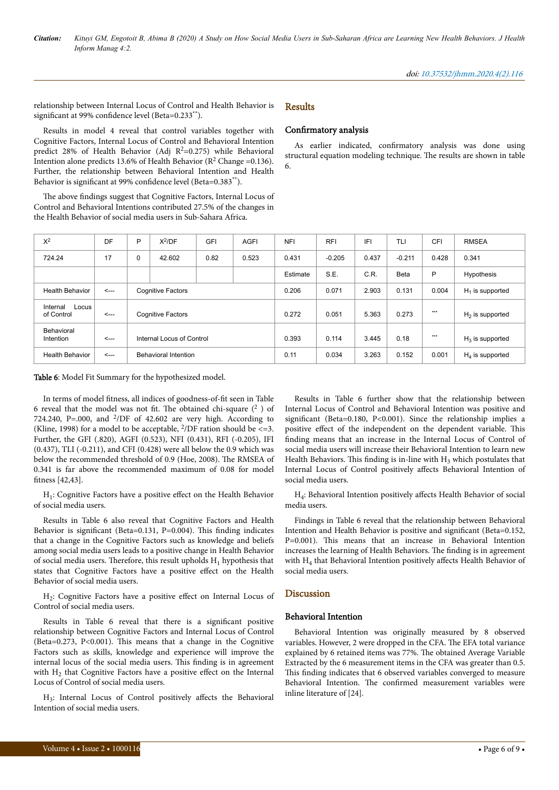relationship between Internal Locus of Control and Health Behavior is significant at 99% confidence level (Beta=0.233<sup>\*\*</sup>).

# Results

# Confirmatory analysis

Results in model 4 reveal that control variables together with Cognitive Factors, Internal Locus of Control and Behavioral Intention predict 28% of Health Behavior (Adj  $R^2$ =0.275) while Behavioral Intention alone predicts 13.6% of Health Behavior ( $\mathbb{R}^2$  Change = 0.136). Further, the relationship between Behavioral Intention and Health Behavior is significant at 99% confidence level (Beta=0.383\*\*).

The above findings suggest that Cognitive Factors, Internal Locus of Control and Behavioral Intentions contributed 27.5% of the changes in the Health Behavior of social media users in Sub-Sahara Africa.

As earlier indicated, confirmatory analysis was done using structural equation modeling technique. Нe results are shown in table 6.

| $X^2$                           | DF           | P                         | $X^2$ /DF | GFI  | <b>AGFI</b> | <b>NFI</b> | <b>RFI</b> | IFI   | TLI         | <b>CFI</b>         | <b>RMSEA</b>      |
|---------------------------------|--------------|---------------------------|-----------|------|-------------|------------|------------|-------|-------------|--------------------|-------------------|
| 724.24                          | 17           | $\mathbf 0$               | 42.602    | 0.82 | 0.523       | 0.431      | $-0.205$   | 0.437 | $-0.211$    | 0.428              | 0.341             |
|                                 |              |                           |           |      |             | Estimate   | S.E.       | C.R.  | <b>Beta</b> | P                  | Hypothesis        |
| <b>Health Behavior</b>          | $\leftarrow$ | <b>Cognitive Factors</b>  |           |      | 0.206       | 0.071      | 2.903      | 0.131 | 0.004       | $H_1$ is supported |                   |
| Internal<br>Locus<br>of Control | $\leftarrow$ | <b>Cognitive Factors</b>  |           |      |             | 0.272      | 0.051      | 5.363 | 0.273       | $***$              | $H2$ is supported |
| Behavioral<br>Intention         | $\leftarrow$ | Internal Locus of Control |           |      | 0.393       | 0.114      | 3.445      | 0.18  | $***$       | $H_3$ is supported |                   |
| <b>Health Behavior</b>          | $\leftarrow$ | Behavioral Intention      |           |      | 0.11        | 0.034      | 3.263      | 0.152 | 0.001       | $H_4$ is supported |                   |

Table 6: Model Fit Summary for the hypothesized model.

In terms of model fitness, all indices of goodness-of-fit seen in Table 6 reveal that the model was not fit. The obtained chi-square  $(^2$  ) of 724.240, P=.000, and  $^{2}/DF$  of 42.602 are very high. According to (Kline, 1998) for a model to be acceptable,  $^{2}/DF$  ration should be <= 3. Further, the GFI (.820), AGFI (0.523), NFI (0.431), RFI (-0.205), IFI (0.437), TLI (-0.211), and CFI (0.428) were all below the 0.9 which was below the recommended threshold of 0.9 (Hoe, 2008). Нe RMSEA of 0.341 is far above the recommended maximum of 0.08 for model fitness [42,43].

H<sub>1</sub>: Cognitive Factors have a positive effect on the Health Behavior of social media users.

Results in Table 6 also reveal that Cognitive Factors and Health Behavior is significant (Beta=0.131, P=0.004). This finding indicates that a change in the Cognitive Factors such as knowledge and beliefs among social media users leads to a positive change in Health Behavior of social media users. Therefore, this result upholds  $H_1$  hypothesis that states that Cognitive Factors have a positive effect on the Health Behavior of social media users.

H<sub>2</sub>: Cognitive Factors have a positive effect on Internal Locus of Control of social media users.

Results in Table 6 reveal that there is a significant positive relationship between Cognitive Factors and Internal Locus of Control (Beta=0.273, P<0.001). Нis means that a change in the Cognitive Factors such as skills, knowledge and experience will improve the internal locus of the social media users. Нis finding is in agreement with  $H_2$  that Cognitive Factors have a positive effect on the Internal Locus of Control of social media users.

H<sub>3</sub>: Internal Locus of Control positively affects the Behavioral Intention of social media users.

Results in Table 6 further show that the relationship between Internal Locus of Control and Behavioral Intention was positive and significant (Beta=0.180, P<0.001). Since the relationship implies a positive effect of the independent on the dependent variable. This finding means that an increase in the Internal Locus of Control of social media users will increase their Behavioral Intention to learn new Health Behaviors. This finding is in-line with  $H_3$  which postulates that Internal Locus of Control positively affects Behavioral Intention of social media users.

H<sub>4</sub>: Behavioral Intention positively affects Health Behavior of social media users.

Findings in Table 6 reveal that the relationship between Behavioral Intention and Health Behavior is positive and significant (Beta=0.152, P=0.001). This means that an increase in Behavioral Intention increases the learning of Health Behaviors. Нe finding is in agreement with  $H_4$  that Behavioral Intention positively affects Health Behavior of social media users.

# Discussion

#### Behavioral Intention

Behavioral Intention was originally measured by 8 observed variables. However, 2 were dropped in the CFA. Нe EFA total variance explained by 6 retained items was 77%. Нe obtained Average Variable Extracted by the 6 measurement items in the CFA was greater than 0.5. This finding indicates that 6 observed variables converged to measure Behavioral Intention. Нe confirmed measurement variables were inline literature of [24].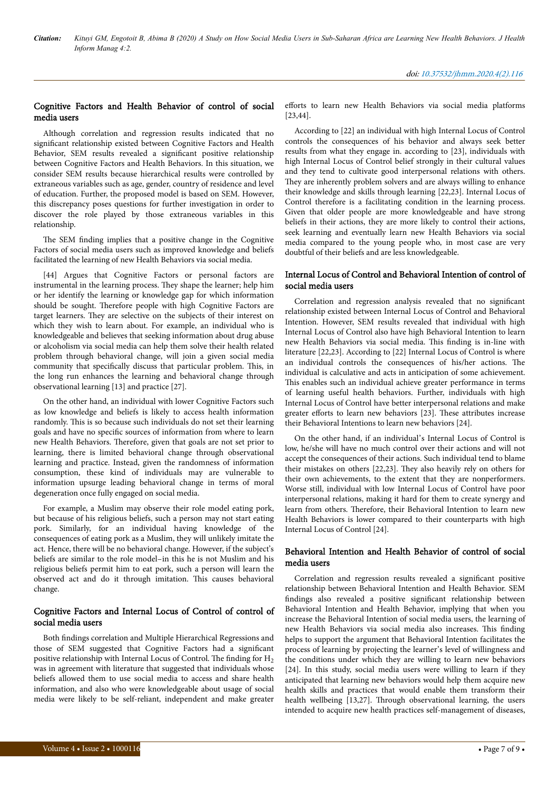# Cognitive Factors and Health Behavior of control of social media users

Although correlation and regression results indicated that no significant relationship existed between Cognitive Factors and Health Behavior, SEM results revealed a significant positive relationship between Cognitive Factors and Health Behaviors. In this situation, we consider SEM results because hierarchical results were controlled by extraneous variables such as age, gender, country of residence and level of education. Further, the proposed model is based on SEM. However, this discrepancy poses questions for further investigation in order to discover the role played by those extraneous variables in this relationship.

The SEM finding implies that a positive change in the Cognitive Factors of social media users such as improved knowledge and beliefs facilitated the learning of new Health Behaviors via social media.

[44] Argues that Cognitive Factors or personal factors are instrumental in the learning process. They shape the learner; help him or her identify the learning or knowledge gap for which information should be sought. Нerefore people with high Cognitive Factors are target learners. They are selective on the subjects of their interest on which they wish to learn about. For example, an individual who is knowledgeable and believes that seeking information about drug abuse or alcoholism via social media can help them solve their health related problem through behavioral change, will join a given social media community that specifically discuss that particular problem. This, in the long run enhances the learning and behavioral change through observational learning [13] and practice [27].

On the other hand, an individual with lower Cognitive Factors such as low knowledge and beliefs is likely to access health information randomly. Нis is so because such individuals do not set their learning goals and have no specific sources of information from where to learn new Health Behaviors. Нerefore, given that goals are not set prior to learning, there is limited behavioral change through observational learning and practice. Instead, given the randomness of information consumption, these kind of individuals may are vulnerable to information upsurge leading behavioral change in terms of moral degeneration once fully engaged on social media.

For example, a Muslim may observe their role model eating pork, but because of his religious beliefs, such a person may not start eating pork. Similarly, for an individual having knowledge of the consequences of eating pork as a Muslim, they will unlikely imitate the act. Hence, there will be no behavioral change. However, if the subject's beliefs are similar to the role model–in this he is not Muslim and his religious beliefs permit him to eat pork, such a person will learn the observed act and do it through imitation. Нis causes behavioral change.

# Cognitive Factors and Internal Locus of Control of control of social media users

Both findings correlation and Multiple Hierarchical Regressions and those of SEM suggested that Cognitive Factors had a significant positive relationship with Internal Locus of Control. The finding for  $H_2$ was in agreement with literature that suggested that individuals whose beliefs allowed them to use social media to access and share health information, and also who were knowledgeable about usage of social media were likely to be self-reliant, independent and make greater efforts to learn new Health Behaviors via social media platforms [23,44].

According to [22] an individual with high Internal Locus of Control controls the consequences of his behavior and always seek better results from what they engage in. according to [23], individuals with high Internal Locus of Control belief strongly in their cultural values and they tend to cultivate good interpersonal relations with others. They are inherently problem solvers and are always willing to enhance their knowledge and skills through learning [22,23]. Internal Locus of Control therefore is a facilitating condition in the learning process. Given that older people are more knowledgeable and have strong beliefs in their actions, they are more likely to control their actions, seek learning and eventually learn new Health Behaviors via social media compared to the young people who, in most case are very doubtful of their beliefs and are less knowledgeable.

# Internal Locus of Control and Behavioral Intention of control of social media users

Correlation and regression analysis revealed that no significant relationship existed between Internal Locus of Control and Behavioral Intention. However, SEM results revealed that individual with high Internal Locus of Control also have high Behavioral Intention to learn new Health Behaviors via social media. Нis finding is in-line with literature [22,23]. According to [22] Internal Locus of Control is where an individual controls the consequences of his/her actions. Нe individual is calculative and acts in anticipation of some achievement. This enables such an individual achieve greater performance in terms of learning useful health behaviors. Further, individuals with high Internal Locus of Control have better interpersonal relations and make greater efforts to learn new behaviors [23]. These attributes increase their Behavioral Intentions to learn new behaviors [24].

On the other hand, if an individual's Internal Locus of Control is low, he/she will have no much control over their actions and will not accept the consequences of their actions. Such individual tend to blame their mistakes on others [22,23]. They also heavily rely on others for their own achievements, to the extent that they are nonperformers. Worse still, individual with low Internal Locus of Control have poor interpersonal relations, making it hard for them to create synergy and learn from others. Нerefore, their Behavioral Intention to learn new Health Behaviors is lower compared to their counterparts with high Internal Locus of Control [24].

# Behavioral Intention and Health Behavior of control of social media users

Correlation and regression results revealed a significant positive relationship between Behavioral Intention and Health Behavior. SEM findings also revealed a positive significant relationship between Behavioral Intention and Health Behavior, implying that when you increase the Behavioral Intention of social media users, the learning of new Health Behaviors via social media also increases. Нis finding helps to support the argument that Behavioral Intention facilitates the process of learning by projecting the learner's level of willingness and the conditions under which they are willing to learn new behaviors [24]. In this study, social media users were willing to learn if they anticipated that learning new behaviors would help them acquire new health skills and practices that would enable them transform their health wellbeing [13,27]. Through observational learning, the users intended to acquire new health practices self-management of diseases,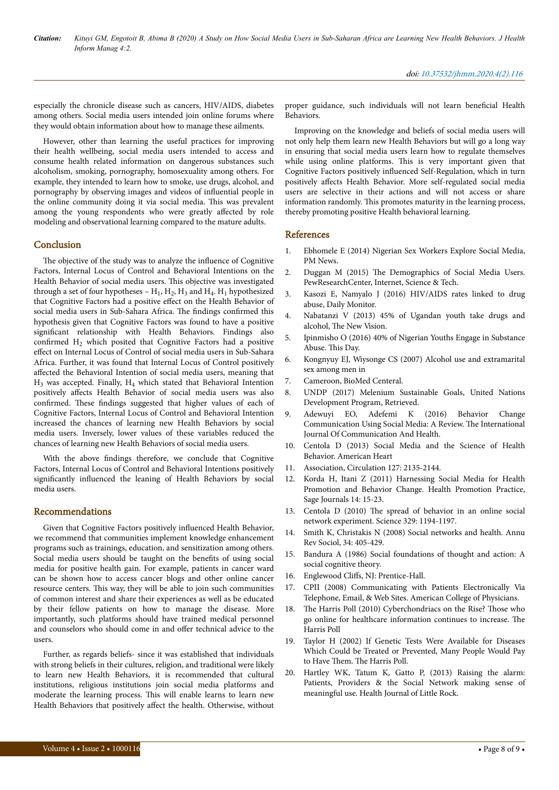especially the chronicle disease such as cancers, HIV/AIDS, diabetes among others. Social media users intended join online forums where they would obtain information about how to manage these ailments.

However, other than learning the useful practices for improving their health wellbeing, social media users intended to access and consume health related information on dangerous substances such alcoholism, smoking, pornography, homosexuality among others. For example, they intended to learn how to smoke, use drugs, alcohol, and pornography by observing images and videos of influential people in the online community doing it via social media. Нis was prevalent among the young respondents who were greatly affected by role modeling and observational learning compared to the mature adults.

# **Conclusion**

The objective of the study was to analyze the influence of Cognitive Factors, Internal Locus of Control and Behavioral Intentions on the Health Behavior of social media users. Нis objective was investigated through a set of four hypotheses –  $H_1$ ,  $H_2$ ,  $H_3$  and  $H_4$ .  $H_1$  hypothesized that Cognitive Factors had a positive effect on the Health Behavior of social media users in Sub-Sahara Africa. Нe findings confirmed this hypothesis given that Cognitive Factors was found to have a positive significant relationship with Health Behaviors. Findings also confirmed  $H_2$  which posited that Cognitive Factors had a positive effect on Internal Locus of Control of social media users in Sub-Sahara Africa. Further, it was found that Internal Locus of Control positively affected the Behavioral Intention of social media users, meaning that H3 was accepted. Finally, H<sup>4</sup> which stated that Behavioral Intention positively affects Health Behavior of social media users was also confirmed. Нese findings suggested that higher values of each of Cognitive Factors, Internal Locus of Control and Behavioral Intention increased the chances of learning new Health Behaviors by social media users. Inversely, lower values of these variables reduced the chances of learning new Health Behaviors of social media users.

With the above findings therefore, we conclude that Cognitive Factors, Internal Locus of Control and Behavioral Intentions positively significantly influenced the leaning of Health Behaviors by social media users.

# Recommendations

Given that Cognitive Factors positively influenced Health Behavior, we recommend that communities implement knowledge enhancement programs such as trainings, education, and sensitization among others. Social media users should be taught on the benefits of using social media for positive health gain. For example, patients in cancer ward can be shown how to access cancer blogs and other online cancer resource centers. Нis way, they will be able to join such communities of common interest and share their experiences as well as be educated by their fellow patients on how to manage the disease. More importantly, such platforms should have trained medical personnel and counselors who should come in and offer technical advice to the users.

Further, as regards beliefs- since it was established that individuals with strong beliefs in their cultures, religion, and traditional were likely to learn new Health Behaviors, it is recommended that cultural institutions, religious institutions join social media platforms and moderate the learning process. Нis will enable learns to learn new Health Behaviors that positively affect the health. Otherwise, without proper guidance, such individuals will not learn beneficial Health Behaviors.

Improving on the knowledge and beliefs of social media users will not only help them learn new Health Behaviors but will go a long way in ensuring that social media users learn how to regulate themselves while using online platforms. Нis is very important given that Cognitive Factors positively influenced Self-Regulation, which in turn positively affects Health Behavior. More self-regulated social media users are selective in their actions and will not access or share information randomly. Нis promotes maturity in the learning process, thereby promoting positive Health behavioral learning.

#### References

- 1. [Ebhomele E \(2014\) Nigerian Sex Workers Explore Social Media,](https://www.pmnewsnigeria.com/2014/11/14/nigerian-sex-workers-explore-social-media/) [PM News.](https://www.pmnewsnigeria.com/2014/11/14/nigerian-sex-workers-explore-social-media/)
- 2. Duggan M (2015) Нe [Demographics of Social Media Users.](https://www.pewresearch.org/internet/2015/08/19/the-demographics-of-social-media-users/) [PewResearchCenter, Internet, Science & Tech.](https://www.pewresearch.org/internet/2015/08/19/the-demographics-of-social-media-users/)
- 3. Kasozi E, Namyalo J (2016) HIV/AIDS rates linked to drug abuse, Daily Monitor.
- 4. [Nabatanzi V \(2013\) 45% of Ugandan youth take drugs and](https://www.newvision.co.ug/news/1315230/-ugandan-youth-drugs-alcohol) alcohol, Нe [New Vision.](https://www.newvision.co.ug/news/1315230/-ugandan-youth-drugs-alcohol)
- 5. [Ipinmisho O \(2016\) 40% of Nigerian Youths Engage in Substance](https://www.thisdaylive.com/index.php/2016/05/20/40-of-nigerian-youths-engage-in-substance-abuse/) [Abuse.](https://www.thisdaylive.com/index.php/2016/05/20/40-of-nigerian-youths-engage-in-substance-abuse/) Нis Day.
- 6. Kongnyuy EJ, Wiysonge CS (2007) Alcohol use and extramarital sex among men in
- 7. Cameroon, BioMed Centeral.
- 8. [UNDP \(2017\) Melenium Sustainable Goals, United Nations](file:///C:/Users/omics/Downloads/SDGs_Booklet_Web_En.pdf) [Development Program, Retrieved.](file:///C:/Users/omics/Downloads/SDGs_Booklet_Web_En.pdf)
- 9. [Adewuyi EO, Adefemi K \(2016\) Behavior Change](https://www.semanticscholar.org/paper/Behavior-Change-Communication-Using-Social-Media-%3A-Adewuyi/3b2764a11aca273f459bd77a580c9862109c1a4b) [Communication Using Social Media: A Review.](https://www.semanticscholar.org/paper/Behavior-Change-Communication-Using-Social-Media-%3A-Adewuyi/3b2764a11aca273f459bd77a580c9862109c1a4b) Нe International [Journal Of Communication And Health.](https://www.semanticscholar.org/paper/Behavior-Change-Communication-Using-Social-Media-%3A-Adewuyi/3b2764a11aca273f459bd77a580c9862109c1a4b)
- 10. Centola D (2013) Social Media and the Science of Health Behavior. American Heart
- 11. Association, Circulation 127: 2135-2144.
- 12. [Korda H, Itani Z \(2011\) Harnessing Social Media for Health](https://journals.sagepub.com/doi/full/10.1177/1524839911405850?url_ver=Z39.88-2003&rfr_id=ori:rid:crossref.org&rfr_dat=cr_pub%20%200pubmed) [Promotion and Behavior Change. Health Promotion Practice,](https://journals.sagepub.com/doi/full/10.1177/1524839911405850?url_ver=Z39.88-2003&rfr_id=ori:rid:crossref.org&rfr_dat=cr_pub%20%200pubmed) [Sage Journals 14: 15-23.](https://journals.sagepub.com/doi/full/10.1177/1524839911405850?url_ver=Z39.88-2003&rfr_id=ori:rid:crossref.org&rfr_dat=cr_pub%20%200pubmed)
- 13. Centola D (2010) Нe [spread of behavior in an online social](https://science.sciencemag.org/content/329/5996/1194.long) [network experiment. Science 329: 1194-1197.](https://science.sciencemag.org/content/329/5996/1194.long)
- 14. [Smith K, Christakis N \(2008\) Social networks and health. Annu](https://www.annualreviews.org/doi/abs/10.1146/annurev.soc.34.040507.134601) [Rev Sociol, 34: 405-429.](https://www.annualreviews.org/doi/abs/10.1146/annurev.soc.34.040507.134601)
- 15. Bandura A (1986) Social foundations of thought and action: A social cognitive theory.
- 16. Englewood Cliffs, NJ: Prentice-Hall.
- 17. CPII (2008) Communicating with Patients Electronically Via Telephone, Email, & Web Sites. American College of Physicians.
- 18. The [Harris Poll \(2010\) Cyberchondriacs on the Rise?](https://theharrispoll.com/the-latest-harris-poll-measuring-how-many-people-use-the-internet-to-look-for-information-about-health-topics-finds-that-the-numbers-continue-to-increase-the-harris-poll-first-used-the-word-cyberch/) Those who [go online for healthcare information continues to increase.](https://theharrispoll.com/the-latest-harris-poll-measuring-how-many-people-use-the-internet-to-look-for-information-about-health-topics-finds-that-the-numbers-continue-to-increase-the-harris-poll-first-used-the-word-cyberch/) Нe [Harris Poll](https://theharrispoll.com/the-latest-harris-poll-measuring-how-many-people-use-the-internet-to-look-for-information-about-health-topics-finds-that-the-numbers-continue-to-increase-the-harris-poll-first-used-the-word-cyberch/)
- 19. Taylor H (2002) If Genetic Tests Were Available for Diseases Which Could be Treated or Prevented, Many People Would Pay to Have Them. The Harris Poll.
- 20. Hartley WK, Tatum K, Gatto P, (2013) Raising the alarm: Patients, Providers & the Social Network making sense of meaningful use. Health Journal of Little Rock.